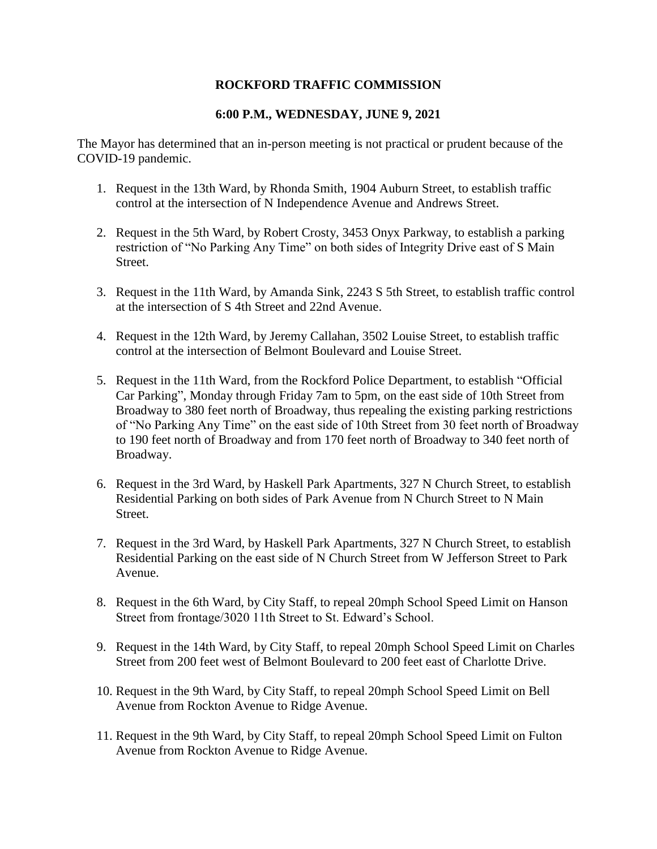## **ROCKFORD TRAFFIC COMMISSION**

## **6:00 P.M., WEDNESDAY, JUNE 9, 2021**

The Mayor has determined that an in-person meeting is not practical or prudent because of the COVID-19 pandemic.

- 1. Request in the 13th Ward, by Rhonda Smith, 1904 Auburn Street, to establish traffic control at the intersection of N Independence Avenue and Andrews Street.
- 2. Request in the 5th Ward, by Robert Crosty, 3453 Onyx Parkway, to establish a parking restriction of "No Parking Any Time" on both sides of Integrity Drive east of S Main Street.
- 3. Request in the 11th Ward, by Amanda Sink, 2243 S 5th Street, to establish traffic control at the intersection of S 4th Street and 22nd Avenue.
- 4. Request in the 12th Ward, by Jeremy Callahan, 3502 Louise Street, to establish traffic control at the intersection of Belmont Boulevard and Louise Street.
- 5. Request in the 11th Ward, from the Rockford Police Department, to establish "Official Car Parking", Monday through Friday 7am to 5pm, on the east side of 10th Street from Broadway to 380 feet north of Broadway, thus repealing the existing parking restrictions of "No Parking Any Time" on the east side of 10th Street from 30 feet north of Broadway to 190 feet north of Broadway and from 170 feet north of Broadway to 340 feet north of Broadway.
- 6. Request in the 3rd Ward, by Haskell Park Apartments, 327 N Church Street, to establish Residential Parking on both sides of Park Avenue from N Church Street to N Main Street.
- 7. Request in the 3rd Ward, by Haskell Park Apartments, 327 N Church Street, to establish Residential Parking on the east side of N Church Street from W Jefferson Street to Park Avenue.
- 8. Request in the 6th Ward, by City Staff, to repeal 20mph School Speed Limit on Hanson Street from frontage/3020 11th Street to St. Edward's School.
- 9. Request in the 14th Ward, by City Staff, to repeal 20mph School Speed Limit on Charles Street from 200 feet west of Belmont Boulevard to 200 feet east of Charlotte Drive.
- 10. Request in the 9th Ward, by City Staff, to repeal 20mph School Speed Limit on Bell Avenue from Rockton Avenue to Ridge Avenue.
- 11. Request in the 9th Ward, by City Staff, to repeal 20mph School Speed Limit on Fulton Avenue from Rockton Avenue to Ridge Avenue.